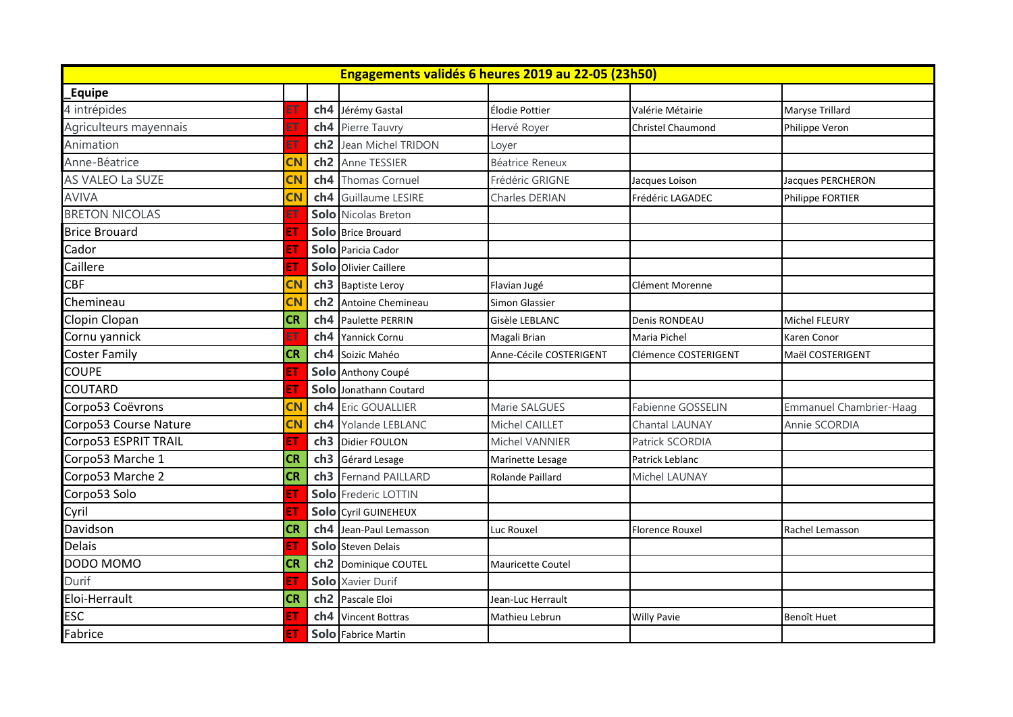| Engagements validés 6 heures 2019 au 22-05 (23h50) |           |                 |                            |                         |                          |                          |  |
|----------------------------------------------------|-----------|-----------------|----------------------------|-------------------------|--------------------------|--------------------------|--|
| Equipe                                             |           |                 |                            |                         |                          |                          |  |
| 4 intrépides                                       |           | ch <sub>4</sub> | Jérémy Gastal              | Élodie Pottier          | Valérie Métairie         | Maryse Trillard          |  |
| Agriculteurs mayennais                             |           | ch4             | Pierre Tauvry              | Hervé Royer             | <b>Christel Chaumond</b> | Philippe Veron           |  |
| Animation                                          |           | ch <sub>2</sub> | Jean Michel TRIDON         | Loyer                   |                          |                          |  |
| Anne-Béatrice                                      | CN        | ch <sub>2</sub> | Anne TESSIER               | Béatrice Reneux         |                          |                          |  |
| AS VALEO La SUZE                                   | CN        | ch <sub>4</sub> | <b>Thomas Cornuel</b>      | Frédéric GRIGNE         | Jacques Loison           | <b>Jacques PERCHERON</b> |  |
| <b>AVIVA</b>                                       | CN        | ch <sub>4</sub> | <b>Guillaume LESIRE</b>    | Charles DERIAN          | Frédéric LAGADEC         | Philippe FORTIER         |  |
| <b>BRETON NICOLAS</b>                              |           |                 | <b>Solo</b> Nicolas Breton |                         |                          |                          |  |
| <b>Brice Brouard</b>                               | E1        |                 | Solo Brice Brouard         |                         |                          |                          |  |
| Cador                                              | E1        |                 | Solo Paricia Cador         |                         |                          |                          |  |
| Caillere                                           | E1        |                 | Solo Olivier Caillere      |                         |                          |                          |  |
| <b>CBF</b>                                         | CN        | ch <sub>3</sub> | <b>Baptiste Leroy</b>      | Flavian Jugé            | Clément Morenne          |                          |  |
| Chemineau                                          | CN        | ch <sub>2</sub> | Antoine Chemineau          | Simon Glassier          |                          |                          |  |
| Clopin Clopan                                      | <b>CR</b> | ch4             | Paulette PERRIN            | Gisèle LEBLANC          | Denis RONDEAU            | <b>Michel FLEURY</b>     |  |
| Cornu yannick                                      |           | ch <sub>4</sub> | Yannick Cornu              | Magali Brian            | Maria Pichel             | Karen Conor              |  |
| <b>Coster Family</b>                               | <b>CR</b> | ch <sub>4</sub> | Soizic Mahéo               | Anne-Cécile COSTERIGENT | Clémence COSTERIGENT     | Maël COSTERIGENT         |  |
| <b>COUPE</b>                                       | E1        |                 | Solo Anthony Coupé         |                         |                          |                          |  |
| <b>COUTARD</b>                                     | E1        | Solo            | Jonathann Coutard          |                         |                          |                          |  |
| Corpo53 Coëvrons                                   | <b>CN</b> | ch4             | Eric GOUALLIER             | Marie SALGUES           | Fabienne GOSSELIN        | Emmanuel Chambrier-Haag  |  |
| Corpo53 Course Nature                              | <b>CN</b> | ch <sub>4</sub> | Yolande LEBLANC            | Michel CAILLET          | <b>Chantal LAUNAY</b>    | Annie SCORDIA            |  |
| Corpo53 ESPRIT TRAIL                               | E1        | ch <sub>3</sub> | Didier FOULON              | Michel VANNIER          | Patrick SCORDIA          |                          |  |
| Corpo53 Marche 1                                   | <b>CR</b> | ch3             | Gérard Lesage              | Marinette Lesage        | Patrick Leblanc          |                          |  |
| Corpo53 Marche 2                                   | <b>CR</b> | ch3             | Fernand PAILLARD           | Rolande Paillard        | Michel LAUNAY            |                          |  |
| Corpo53 Solo                                       | Ē.        |                 | Solo Frederic LOTTIN       |                         |                          |                          |  |
| Cyril                                              | E.        |                 | Solo Cyril GUINEHEUX       |                         |                          |                          |  |
| Davidson                                           | <b>CR</b> | ch4             | Jean-Paul Lemasson         | Luc Rouxel              | <b>Florence Rouxel</b>   | Rachel Lemasson          |  |
| <b>Delais</b>                                      | E1        |                 | Solo Steven Delais         |                         |                          |                          |  |
| DODO MOMO                                          | <b>CR</b> | ch <sub>2</sub> | Dominique COUTEL           | Mauricette Coutel       |                          |                          |  |
| Durif                                              | E1        |                 | <b>Solo</b> Xavier Durif   |                         |                          |                          |  |
| Eloi-Herrault                                      | <b>CR</b> | ch <sub>2</sub> | Pascale Eloi               | Jean-Luc Herrault       |                          |                          |  |
| <b>ESC</b>                                         | E1        | ch4             | <b>Vincent Bottras</b>     | Mathieu Lebrun          | <b>Willy Pavie</b>       | <b>Benoît Huet</b>       |  |
| Fabrice                                            | ET        |                 | Solo Fabrice Martin        |                         |                          |                          |  |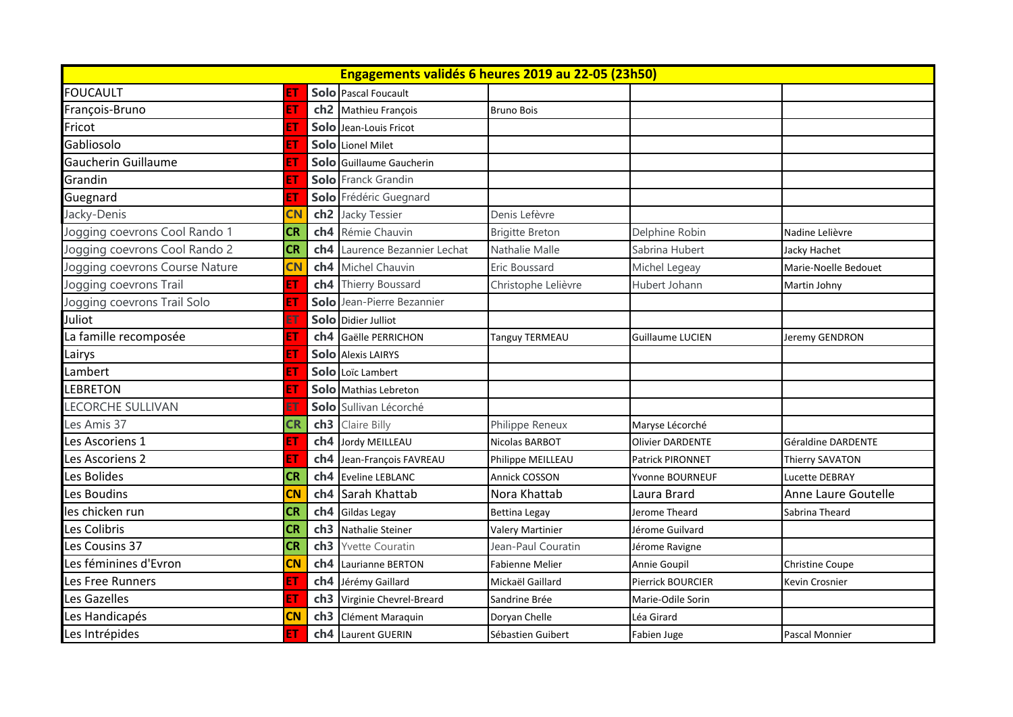| Engagements validés 6 heures 2019 au 22-05 (23h50) |           |                 |                            |                         |                         |                       |
|----------------------------------------------------|-----------|-----------------|----------------------------|-------------------------|-------------------------|-----------------------|
| <b>FOUCAULT</b>                                    |           |                 | Solo Pascal Foucault       |                         |                         |                       |
| François-Bruno                                     |           | ch <sub>2</sub> | Mathieu François           | <b>Bruno Bois</b>       |                         |                       |
| Fricot                                             | FΤ        |                 | Solo Jean-Louis Fricot     |                         |                         |                       |
| Gabliosolo                                         |           |                 | Solo Lionel Milet          |                         |                         |                       |
| Gaucherin Guillaume                                |           |                 | Solo Guillaume Gaucherin   |                         |                         |                       |
| Grandin                                            |           |                 | Solo Franck Grandin        |                         |                         |                       |
| Guegnard                                           | EΤ        |                 | Solo Frédéric Guegnard     |                         |                         |                       |
| Jacky-Denis                                        | <b>CN</b> | ch <sub>2</sub> | Jacky Tessier              | Denis Lefèvre           |                         |                       |
| Jogging coevrons Cool Rando 1                      | <b>CR</b> | ch <sub>4</sub> | Rémie Chauvin              | <b>Brigitte Breton</b>  | Delphine Robin          | Nadine Lelièvre       |
| Jogging coevrons Cool Rando 2                      | <b>CR</b> | ch <sub>4</sub> | Laurence Bezannier Lechat  | Nathalie Malle          | Sabrina Hubert          | Jacky Hachet          |
| Jogging coevrons Course Nature                     | <b>CN</b> | ch <sub>4</sub> | Michel Chauvin             | Eric Boussard           | Michel Legeay           | Marie-Noelle Bedouet  |
| Jogging coevrons Trail                             | EΤ        | ch <sub>4</sub> | Thierry Boussard           | Christophe Lelièvre     | Hubert Johann           | Martin Johny          |
| Jogging coevrons Trail Solo                        |           |                 | Solo Jean-Pierre Bezannier |                         |                         |                       |
| Juliot                                             |           |                 | Solo Didier Julliot        |                         |                         |                       |
| La famille recomposée                              | EΤ        | ch <sub>4</sub> | Gaëlle PERRICHON           | Tanguy TERMEAU          | Guillaume LUCIEN        | Jeremy GENDRON        |
| Lairys                                             |           |                 | Solo Alexis LAIRYS         |                         |                         |                       |
| Lambert                                            |           |                 | Solo Loïc Lambert          |                         |                         |                       |
| <b>LEBRETON</b>                                    |           |                 | Solo Mathias Lebreton      |                         |                         |                       |
| <b>LECORCHE SULLIVAN</b>                           |           |                 | Solo Sullivan Lécorché     |                         |                         |                       |
| Les Amis 37                                        | CR        | ch <sub>3</sub> | Claire Billy               | Philippe Reneux         | Maryse Lécorché         |                       |
| Les Ascoriens 1                                    |           | ch4             | Jordy MEILLEAU             | Nicolas BARBOT          | <b>Olivier DARDENTE</b> | Géraldine DARDENTE    |
| Les Ascoriens 2                                    |           | ch <sub>4</sub> | Jean-François FAVREAU      | Philippe MEILLEAU       | Patrick PIRONNET        | Thierry SAVATON       |
| Les Bolides                                        | <b>CR</b> | ch <sub>4</sub> | Eveline LEBLANC            | <b>Annick COSSON</b>    | Yvonne BOURNEUF         | <b>Lucette DEBRAY</b> |
| Les Boudins                                        | <b>CN</b> | ch <sub>4</sub> | Sarah Khattab              | Nora Khattab            | Laura Brard             | Anne Laure Goutelle   |
| les chicken run                                    | <b>CR</b> | ch <sub>4</sub> | <b>Gildas Legay</b>        | <b>Bettina Legay</b>    | Jerome Theard           | Sabrina Theard        |
| Les Colibris                                       | <b>CR</b> | ch3             | Nathalie Steiner           | <b>Valery Martinier</b> | Jérome Guilvard         |                       |
| Les Cousins 37                                     | <b>CR</b> | ch <sub>3</sub> | <b>Yvette Couratin</b>     | Jean-Paul Couratin      | Jérome Ravigne          |                       |
| Les féminines d'Evron                              | <b>CN</b> | ch4             | Laurianne BERTON           | <b>Fabienne Melier</b>  | Annie Goupil            | Christine Coupe       |
| Les Free Runners                                   |           | ch <sub>4</sub> | Jérémy Gaillard            | Mickaël Gaillard        | Pierrick BOURCIER       | Kevin Crosnier        |
| Les Gazelles                                       |           | ch3             | Virginie Chevrel-Breard    | Sandrine Brée           | Marie-Odile Sorin       |                       |
| Les Handicapés                                     | <b>CN</b> | ch <sub>3</sub> | Clément Maraquin           | Doryan Chelle           | Léa Girard              |                       |
| Les Intrépides                                     | EТ        |                 | ch4 Laurent GUERIN         | Sébastien Guibert       | Fabien Juge             | <b>Pascal Monnier</b> |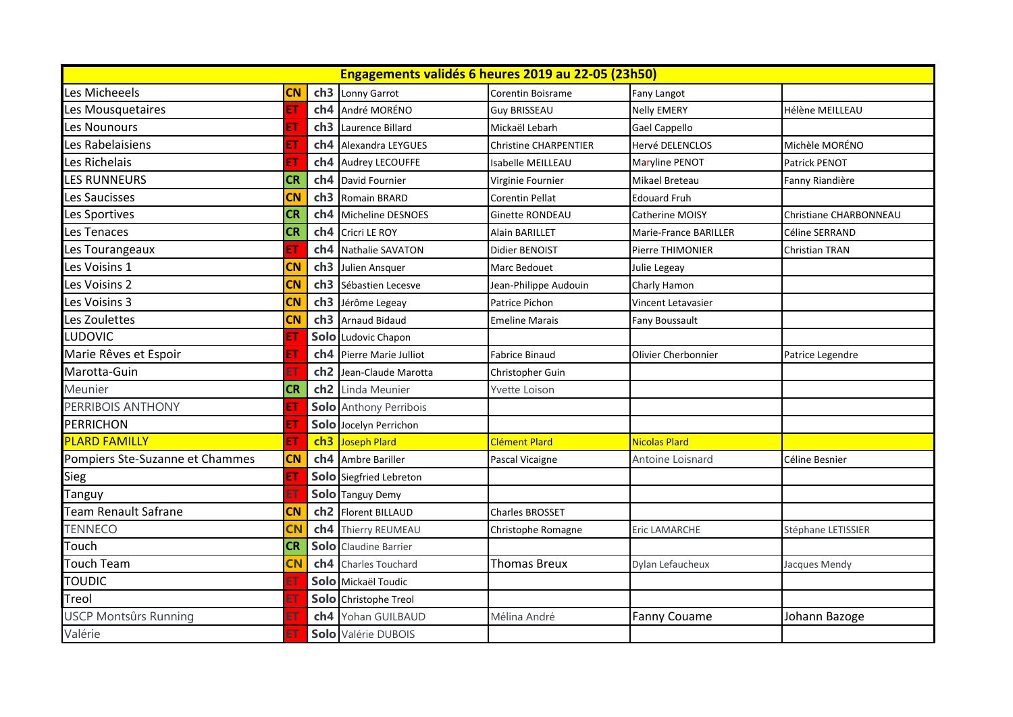| Engagements validés 6 heures 2019 au 22-05 (23h50) |           |                 |                               |                              |                              |                        |  |
|----------------------------------------------------|-----------|-----------------|-------------------------------|------------------------------|------------------------------|------------------------|--|
| Les Micheeels                                      | <b>CN</b> | ch <sub>3</sub> | Lonny Garrot                  | Corentin Boisrame            | Fany Langot                  |                        |  |
| Les Mousquetaires                                  | EТ        | ch <sub>4</sub> | André MORÉNO                  | <b>Guy BRISSEAU</b>          | <b>Nelly EMERY</b>           | Hélène MEILLEAU        |  |
| Les Nounours                                       | EТ        | ch <sub>3</sub> | Laurence Billard              | Mickaël Lebarh               | <b>Gael Cappello</b>         |                        |  |
| Les Rabelaisiens                                   | EТ        | ch <sub>4</sub> | Alexandra LEYGUES             | <b>Christine CHARPENTIER</b> | Hervé DELENCLOS              | Michèle MORÉNO         |  |
| Les Richelais                                      |           | ch4             | Audrey LECOUFFE               | Isabelle MEILLEAU            | Maryline PENOT               | Patrick PENOT          |  |
| LES RUNNEURS                                       | <b>CR</b> | ch4             | David Fournier                | Virginie Fournier            | Mikael Breteau               | Fanny Riandière        |  |
| Les Saucisses                                      | <b>CN</b> | ch <sub>3</sub> | Romain BRARD                  | <b>Corentin Pellat</b>       | <b>Edouard Fruh</b>          |                        |  |
| Les Sportives                                      | <b>CR</b> | ch4             | Micheline DESNOES             | <b>Ginette RONDEAU</b>       | Catherine MOISY              | Christiane CHARBONNEAU |  |
| Les Tenaces                                        | <b>CR</b> | ch <sub>4</sub> | Cricri LE ROY                 | Alain BARILLET               | <b>Marie-France BARILLER</b> | Céline SERRAND         |  |
| Les Tourangeaux                                    | EΤ        | ch <sub>4</sub> | Nathalie SAVATON              | Didier BENOIST               | <b>Pierre THIMONIER</b>      | Christian TRAN         |  |
| Les Voisins 1                                      | <b>CN</b> | ch <sub>3</sub> | Julien Ansquer                | Marc Bedouet                 | Julie Legeay                 |                        |  |
| Les Voisins 2                                      | <b>CN</b> | ch <sub>3</sub> | Sébastien Lecesve             | Jean-Philippe Audouin        | Charly Hamon                 |                        |  |
| Les Voisins 3                                      | CN        | ch <sub>3</sub> | Jérôme Legeay                 | Patrice Pichon               | Vincent Letavasier           |                        |  |
| Les Zoulettes                                      | CN        | ch <sub>3</sub> | <b>Arnaud Bidaud</b>          | <b>Emeline Marais</b>        | Fany Boussault               |                        |  |
| LUDOVIC                                            |           | Solo            | Ludovic Chapon                |                              |                              |                        |  |
| Marie Rêves et Espoir                              | EΤ        | ch4             | Pierre Marie Julliot          | <b>Fabrice Binaud</b>        | Olivier Cherbonnier          | Patrice Legendre       |  |
| Marotta-Guin                                       |           | ch <sub>2</sub> | Jean-Claude Marotta           | Christopher Guin             |                              |                        |  |
| Meunier                                            | <b>CR</b> | ch <sub>2</sub> | Linda Meunier                 | Yvette Loison                |                              |                        |  |
| PERRIBOIS ANTHONY                                  | EТ        |                 | <b>Solo</b> Anthony Perribois |                              |                              |                        |  |
| <b>PERRICHON</b>                                   |           |                 | Solo Jocelyn Perrichon        |                              |                              |                        |  |
| <b>PLARD FAMILLY</b>                               | EТ        | ch3             | Joseph Plard                  | Clément Plard                | <b>Nicolas Plard</b>         |                        |  |
| Pompiers Ste-Suzanne et Chammes                    | <b>CN</b> | ch4             | <b>Ambre Bariller</b>         | Pascal Vicaigne              | Antoine Loisnard             | Céline Besnier         |  |
| Sieg                                               | EТ        |                 | Solo Siegfried Lebreton       |                              |                              |                        |  |
| Tanguy                                             |           |                 | Solo Tanguy Demy              |                              |                              |                        |  |
| Team Renault Safrane                               | <b>CN</b> | ch <sub>2</sub> | <b>Florent BILLAUD</b>        | <b>Charles BROSSET</b>       |                              |                        |  |
| <b>TENNECO</b>                                     | <b>CN</b> | ch4             | Thierry REUMEAU               | Christophe Romagne           | Eric LAMARCHE                | Stéphane LETISSIER     |  |
| Touch                                              | <b>CR</b> | Solo            | <b>Claudine Barrier</b>       |                              |                              |                        |  |
| <b>Touch Team</b>                                  | <b>CN</b> | ch <sub>4</sub> | <b>Charles Touchard</b>       | Thomas Breux                 | Dylan Lefaucheux             | Jacques Mendy          |  |
| <b>TOUDIC</b>                                      |           |                 | Solo Mickaël Toudic           |                              |                              |                        |  |
| Treol                                              |           | Solo            | Christophe Treol              |                              |                              |                        |  |
| <b>USCP Montsûrs Running</b>                       |           | ch4             | Yohan GUILBAUD                | Mélina André                 | <b>Fanny Couame</b>          | Johann Bazoge          |  |
| Valérie                                            |           |                 | Solo Valérie DUBOIS           |                              |                              |                        |  |